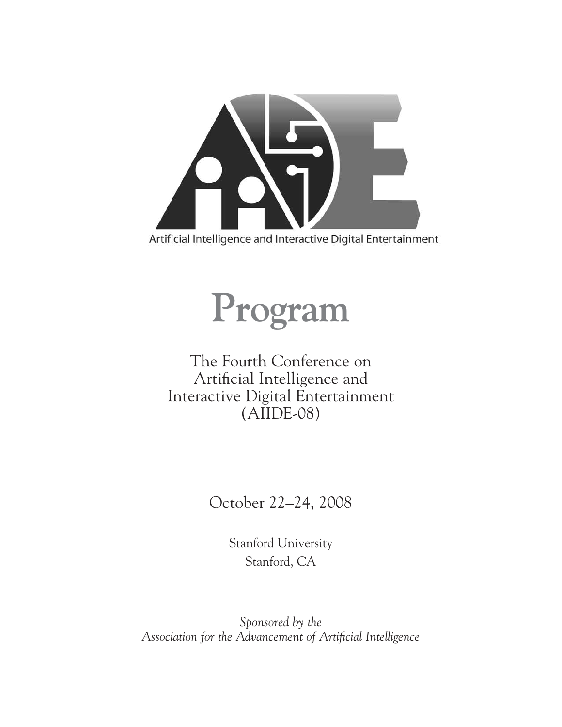



### The Fourth Conference on Artificial Intelligence and Interactive Digital Entertainment (AIIDE-08)

October 22–24, 2008

Stanford University Stanford, CA

*Sponsored by the Association for the Advancement of Artificial Intelligence*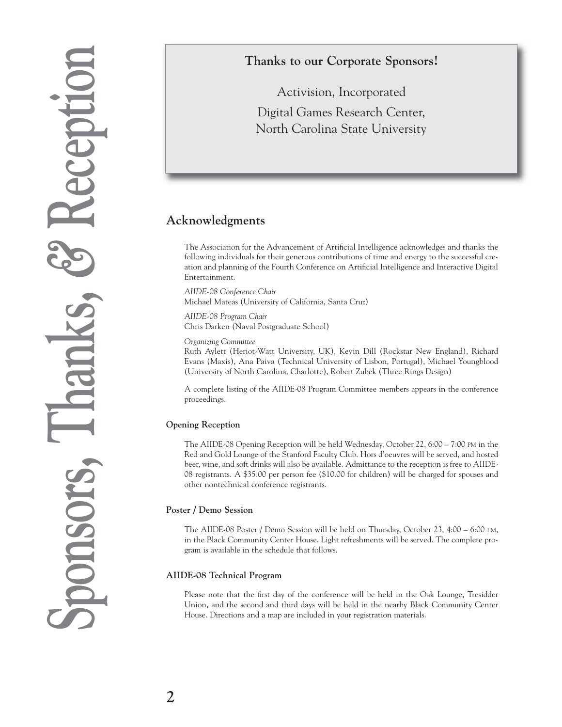### **Thanks to our Corporate Sponsors!**

Activision, Incorporated Digital Games Research Center, North Carolina State University

### **Acknowledgments**

The Association for the Advancement of Artificial Intelligence acknowledges and thanks the following individuals for their generous contributions of time and energy to the successful creation and planning of the Fourth Conference on Artificial Intelligence and Interactive Digital Entertainment.

*AIIDE-08 Conference Chair* Michael Mateas (University of California, Santa Cruz)

*AIIDE-08 Program Chair* Chris Darken (Naval Postgraduate School)

*Organizing Committee*

Ruth Aylett (Heriot-Watt University, UK), Kevin Dill (Rockstar New England), Richard Evans (Maxis), Ana Paiva (Technical University of Lisbon, Portugal), Michael Youngblood (University of North Carolina, Charlotte), Robert Zubek (Three Rings Design)

A complete listing of the AIIDE-08 Program Committee members appears in the conference proceedings.

### **Opening Reception**

The AIIDE-08 Opening Reception will be held Wednesday, October 22, 6:00 – 7:00 PM in the Red and Gold Lounge of the Stanford Faculty Club. Hors d'oeuvres will be served, and hosted beer, wine, and soft drinks will also be available. Admittance to the reception is free to AIIDE-08 registrants. A \$35.00 per person fee (\$10.00 for children) will be charged for spouses and other nontechnical conference registrants.

### **Poster / Demo Session**

The AIIDE-08 Poster / Demo Session will be held on Thursday, October 23, 4:00 – 6:00 PM, in the Black Community Center House. Light refreshments will be served. The complete program is available in the schedule that follows.

### **AIIDE-08 Technical Program**

Please note that the first day of the conference will be held in the Oak Lounge, Tresidder Union, and the second and third days will be held in the nearby Black Community Center House. Directions and a map are included in your registration materials.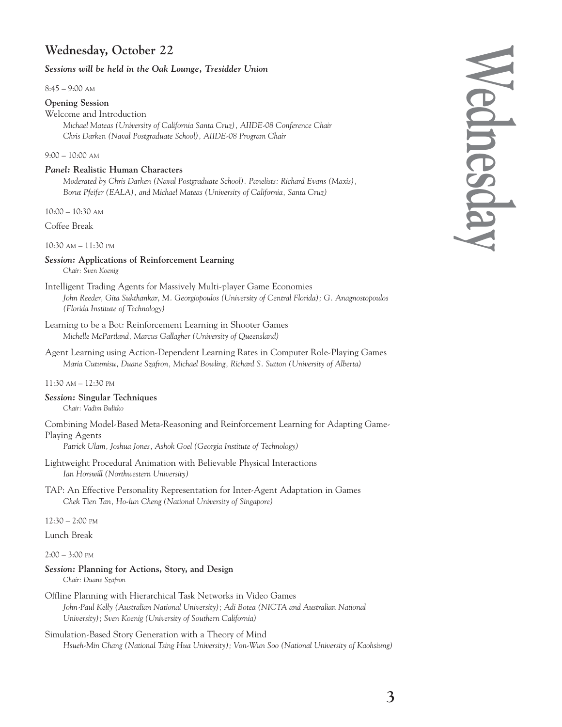### **Wednesday, October 22**

### *Sessions will be held in the Oak Lounge, Tresidder Union*

8:45 – 9:00 AM

### **Opening Session**

### Welcome and Introduction

*Michael Mateas (University of California Santa Cruz), AIIDE-08 Conference Chair Chris Darken (Naval Postgraduate School), AIIDE-08 Program Chair*

### 9:00 – 10:00 AM

### *Panel:* **Realistic Human Characters**

*Moderated by Chris Darken (Naval Postgraduate School). Panelists: Richard Evans (Maxis), Borut Pfeifer (EALA), and Michael Mateas (University of California, Santa Cruz)*

10:00 – 10:30 AM

Coffee Break

10:30 AM – 11:30 PM

### *Session:* **Applications of Reinforcement Learning** *Chair: Sven Koenig*

- Intelligent Trading Agents for Massively Multi-player Game Economies *John Reeder, Gita Sukthankar, M. Georgiopoulos (University of Central Florida); G. Anagnostopoulos (Florida Institute of Technology)*
- Learning to be a Bot: Reinforcement Learning in Shooter Games *Michelle McPartland, Marcus Gallagher (University of Queensland)*
- Agent Learning using Action-Dependent Learning Rates in Computer Role-Playing Games *Maria Cutumisu, Duane Szafron, Michael Bowling, Richard S. Sutton (University of Alberta)*

### 11:30 AM – 12:30 PM

### *Session:* **Singular Techniques**

*Chair: Vadim Bulitko*

Combining Model-Based Meta-Reasoning and Reinforcement Learning for Adapting Game-Playing Agents

*Patrick Ulam, Joshua Jones, Ashok Goel (Georgia Institute of Technology)*

- Lightweight Procedural Animation with Believable Physical Interactions *Ian Horswill (Northwestern University)*
- TAP: An Effective Personality Representation for Inter-Agent Adaptation in Games *Chek Tien Tan, Ho-lun Cheng (National University of Singapore)*

12:30 – 2:00 PM

Lunch Break

2:00 – 3:00 PM

### *Session:* **Planning for Actions, Story, and Design**

*Chair: Duane Szafron*

- Offline Planning with Hierarchical Task Networks in Video Games *John-Paul Kelly (Australian National University); Adi Botea (NICTA and Australian National University); Sven Koenig (University of Southern California)*
- Simulation-Based Story Generation with a Theory of Mind *Hsueh-Min Chang (National Tsing Hua University); Von-Wun Soo (National University of Kaohsiung)*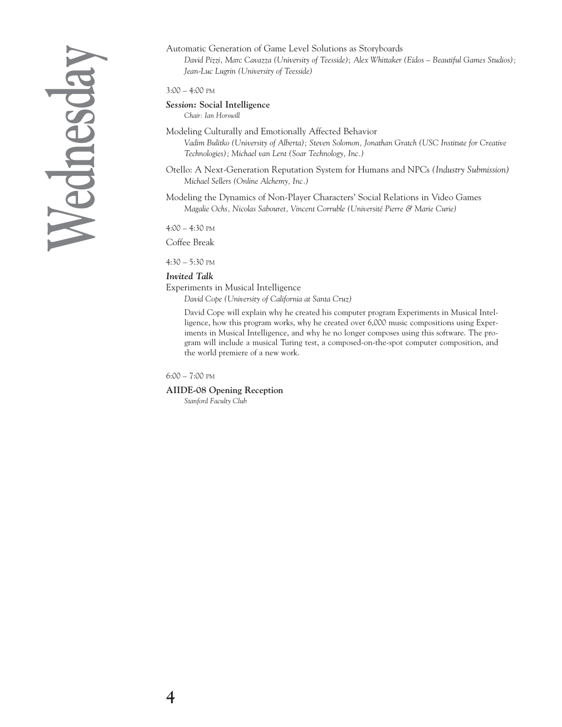# **Wednesday**

### Automatic Generation of Game Level Solutions as Storyboards

*David Pizzi, Marc Cavazza (University of Teesside); Alex Whittaker (Eidos – Beautiful Games Studios); Jean-Luc Lugrin (University of Teesside)*

3:00 – 4:00 PM

### *Session:* **Social Intelligence** *Chair: Ian Horswill*

Modeling Culturally and Emotionally Affected Behavior *Vadim Bulitko (University of Alberta); Steven Solomon, Jonathan Gratch (USC Institute for Creative Technologies); Michael van Lent (Soar Technology, Inc.)*

Otello: A Next-Generation Reputation System for Humans and NPCs *(Industry Submission) Michael Sellers (Online Alchemy, Inc.)*

Modeling the Dynamics of Non-Player Characters' Social Relations in Video Games *Magalie Ochs, Nicolas Sabouret, Vincent Corruble (Université Pierre & Marie Curie)*

4:00 – 4:30 PM

Coffee Break

4:30 – 5:30 PM

### *Invited Talk*

Experiments in Musical Intelligence

*David Cope (University of California at Santa Cruz)*

David Cope will explain why he created his computer program Experiments in Musical Intelligence, how this program works, why he created over 6,000 music compositions using Experiments in Musical Intelligence, and why he no longer composes using this software. The program will include a musical Turing test, a composed-on-the-spot computer composition, and the world premiere of a new work.

6:00 – 7:00 PM

**AIIDE-08 Opening Reception**

*Stanford Faculty Club*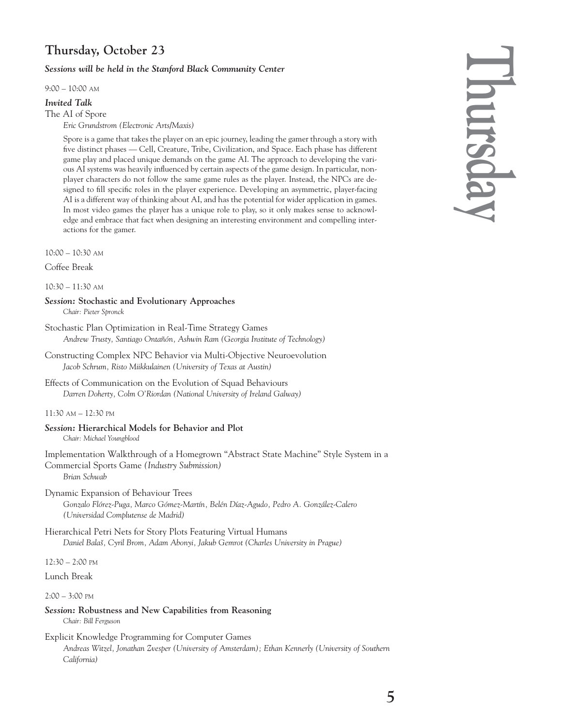### **Thursday, October 23**

### *Sessions will be held in the Stanford Black Community Center*

9:00 – 10:00 AM

### *Invited Talk*

The AI of Spore

*Eric Grundstrom (Electronic Arts/Maxis)*

Spore is a game that takes the player on an epic journey, leading the gamer through a story with five distinct phases — Cell, Creature, Tribe, Civilization, and Space. Each phase has different game play and placed unique demands on the game AI. The approach to developing the various AI systems was heavily influenced by certain aspects of the game design. In particular, nonplayer characters do not follow the same game rules as the player. Instead, the NPCs are designed to fill specific roles in the player experience. Developing an asymmetric, player-facing AI is a different way of thinking about AI, and has the potential for wider application in games. In most video games the player has a unique role to play, so it only makes sense to acknowledge and embrace that fact when designing an interesting environment and compelling interactions for the gamer.

10:00 – 10:30 AM

Coffee Break

10:30 – 11:30 AM

*Session:* **Stochastic and Evolutionary Approaches**

*Chair: Pieter Spronck*

- Stochastic Plan Optimization in Real-Time Strategy Games *Andrew Trusty, Santiago Ontañón, Ashwin Ram (Georgia Institute of Technology)*
- Constructing Complex NPC Behavior via Multi-Objective Neuroevolution *Jacob Schrum, Risto Miikkulainen (University of Texas at Austin)*
- Effects of Communication on the Evolution of Squad Behaviours *Darren Doherty, Colm O'Riordan (National University of Ireland Galway)*

11:30 AM – 12:30 PM

*Session:* **Hierarchical Models for Behavior and Plot** *Chair: Michael Youngblood*

Implementation Walkthrough of a Homegrown "Abstract State Machine" Style System in a Commercial Sports Game *(Industry Submission) Brian Schwab*

Dynamic Expansion of Behaviour Trees

*Gonzalo Flórez-Puga, Marco Gómez-Martín, Belén Díaz-Agudo, Pedro A. González-Calero (Universidad Complutense de Madrid)*

Hierarchical Petri Nets for Story Plots Featuring Virtual Humans *Daniel Balaš, Cyril Brom, Adam Abonyi, Jakub Gemrot (Charles University in Prague)*

12:30 – 2:00 PM

Lunch Break

2:00 – 3:00 PM

- *Session:* **Robustness and New Capabilities from Reasoning** *Chair: Bill Ferguson*
- Explicit Knowledge Programming for Computer Games *Andreas Witzel, Jonathan Zvesper (University of Amsterdam); Ethan Kennerly (University of Southern California)*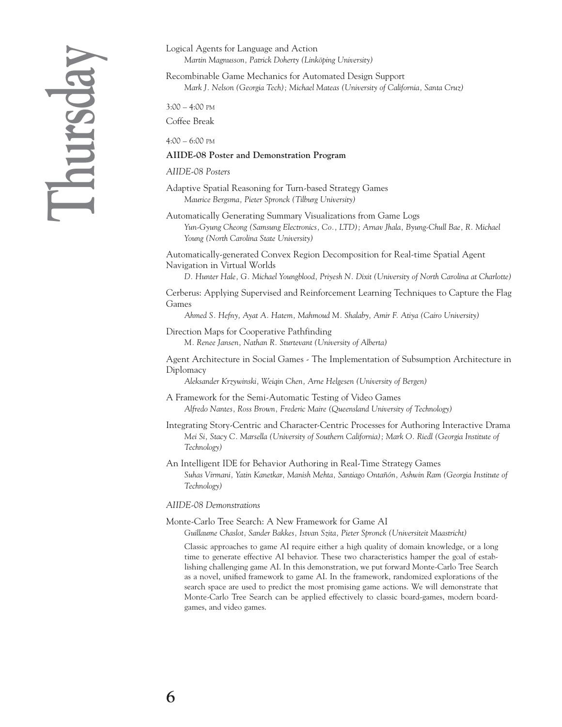## **Thursday**

Logical Agents for Language and Action *Martin Magnusson, Patrick Doherty (Linköping University)*

Recombinable Game Mechanics for Automated Design Support *Mark J. Nelson (Georgia Tech); Michael Mateas (University of California, Santa Cruz)*

3:00 – 4:00 PM

Coffee Break

4:00 – 6:00 PM

### **AIIDE-08 Poster and Demonstration Program**

### *AIIDE-08 Posters*

Adaptive Spatial Reasoning for Turn-based Strategy Games *Maurice Bergsma, Pieter Spronck (Tilburg University)*

Automatically Generating Summary Visualizations from Game Logs *Yun-Gyung Cheong (Samsung Electronics, Co., LTD); Arnav Jhala, Byung-Chull Bae, R. Michael Young (North Carolina State University)*

Automatically-generated Convex Region Decomposition for Real-time Spatial Agent Navigation in Virtual Worlds

*D. Hunter Hale, G. Michael Youngblood, Priyesh N. Dixit (University of North Carolina at Charlotte)*

Cerberus: Applying Supervised and Reinforcement Learning Techniques to Capture the Flag Games

*Ahmed S. Hefny, Ayat A. Hatem, Mahmoud M. Shalaby, Amir F. Atiya (Cairo University)*

Direction Maps for Cooperative Pathfinding *M. Renee Jansen, Nathan R. Sturtevant (University of Alberta)*

Agent Architecture in Social Games - The Implementation of Subsumption Architecture in Diplomacy

*Aleksander Krzywinski, Weiqin Chen, Arne Helgesen (University of Bergen)*

A Framework for the Semi-Automatic Testing of Video Games *Alfredo Nantes, Ross Brown, Frederic Maire (Queensland University of Technology)*

Integrating Story-Centric and Character-Centric Processes for Authoring Interactive Drama *Mei Si, Stacy C. Marsella (University of Southern California); Mark O. Riedl (Georgia Institute of Technology)*

An Intelligent IDE for Behavior Authoring in Real-Time Strategy Games *Suhas Virmani, Yatin Kanetkar, Manish Mehta, Santiago Ontañón, Ashwin Ram (Georgia Institute of Technology)*

### *AIIDE-08 Demonstrations*

Monte-Carlo Tree Search: A New Framework for Game AI

*Guillaume Chaslot, Sander Bakkes, Istvan Szita, Pieter Spronck (Universiteit Maastricht)*

Classic approaches to game AI require either a high quality of domain knowledge, or a long time to generate effective AI behavior. These two characteristics hamper the goal of establishing challenging game AI. In this demonstration, we put forward Monte-Carlo Tree Search as a novel, unified framework to game AI. In the framework, randomized explorations of the search space are used to predict the most promising game actions. We will demonstrate that Monte-Carlo Tree Search can be applied effectively to classic board-games, modern boardgames, and video games.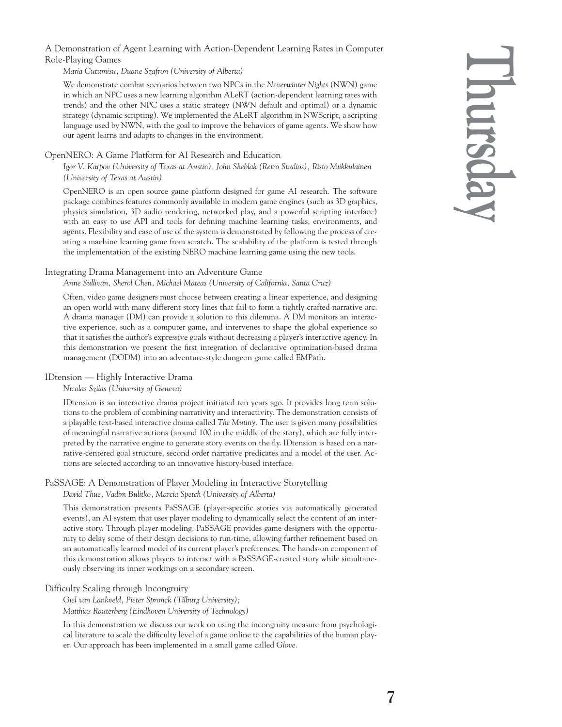A Demonstration of Agent Learning with Action-Dependent Learning Rates in Computer Role-Playing Games

*Maria Cutumisu, Duane Szafron (University of Alberta)*

We demonstrate combat scenarios between two NPCs in the *Neverwinter Nights* (NWN) game in which an NPC uses a new learning algorithm ALeRT (action-dependent learning rates with trends) and the other NPC uses a static strategy (NWN default and optimal) or a dynamic strategy (dynamic scripting). We implemented the ALeRT algorithm in NWScript, a scripting language used by NWN, with the goal to improve the behaviors of game agents. We show how our agent learns and adapts to changes in the environment.

### OpenNERO: A Game Platform for AI Research and Education

*Igor V. Karpov (University of Texas at Austin), John Sheblak (Retro Studios), Risto Miikkulainen (University of Texas at Austin)*

OpenNERO is an open source game platform designed for game AI research. The software package combines features commonly available in modern game engines (such as 3D graphics, physics simulation, 3D audio rendering, networked play, and a powerful scripting interface) with an easy to use API and tools for defining machine learning tasks, environments, and agents. Flexibility and ease of use of the system is demonstrated by following the process of creating a machine learning game from scratch. The scalability of the platform is tested through the implementation of the existing NERO machine learning game using the new tools.

### Integrating Drama Management into an Adventure Game

*Anne Sullivan, Sherol Chen, Michael Mateas (University of California, Santa Cruz)*

Often, video game designers must choose between creating a linear experience, and designing an open world with many different story lines that fail to form a tightly crafted narrative arc. A drama manager (DM) can provide a solution to this dilemma. A DM monitors an interactive experience, such as a computer game, and intervenes to shape the global experience so that it satisfies the author's expressive goals without decreasing a player's interactive agency. In this demonstration we present the first integration of declarative optimization-based drama management (DODM) into an adventure-style dungeon game called EMPath.

### IDtension — Highly Interactive Drama

*Nicolas Szilas (University of Geneva)*

IDtension is an interactive drama project initiated ten years ago. It provides long term solutions to the problem of combining narrativity and interactivity. The demonstration consists of a playable text-based interactive drama called *The Mutiny.* The user is given many possibilities of meaningful narrative actions (around 100 in the middle of the story), which are fully interpreted by the narrative engine to generate story events on the fly. IDtension is based on a narrative-centered goal structure, second order narrative predicates and a model of the user. Actions are selected according to an innovative history-based interface.

### PaSSAGE: A Demonstration of Player Modeling in Interactive Storytelling

*David Thue, Vadim Bulitko, Marcia Spetch (University of Alberta)*

This demonstration presents PaSSAGE (player-specific stories via automatically generated events), an AI system that uses player modeling to dynamically select the content of an interactive story. Through player modeling, PaSSAGE provides game designers with the opportunity to delay some of their design decisions to run-time, allowing further refinement based on an automatically learned model of its current player's preferences. The hands-on component of this demonstration allows players to interact with a PaSSAGE-created story while simultaneously observing its inner workings on a secondary screen.

### Difficulty Scaling through Incongruity

*Giel van Lankveld, Pieter Spronck (Tilburg University); Matthias Rauterberg (Eindhoven University of Technology)*

In this demonstration we discuss our work on using the incongruity measure from psychological literature to scale the difficulty level of a game online to the capabilities of the human player. Our approach has been implemented in a small game called *Glove.*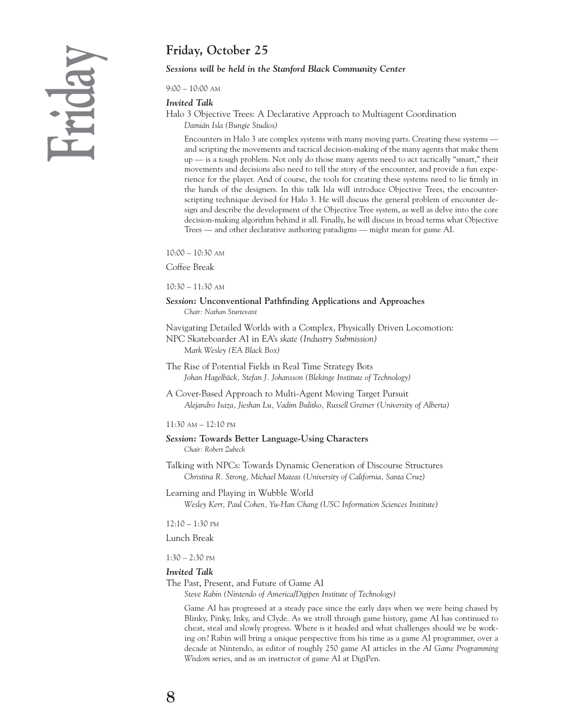### **Friday, October 25**

### *Sessions will be held in the Stanford Black Community Center*

9:00 – 10:00 AM

*Invited Talk*

Halo 3 Objective Trees: A Declarative Approach to Multiagent Coordination *Damián Isla (Bungie Studios)*

Encounters in Halo 3 are complex systems with many moving parts. Creating these systems and scripting the movements and tactical decision-making of the many agents that make them up — is a tough problem. Not only do those many agents need to act tactically "smart," their movements and decisions also need to tell the story of the encounter, and provide a fun experience for the player. And of course, the tools for creating these systems need to lie firmly in the hands of the designers. In this talk Isla will introduce Objective Trees, the encounterscripting technique devised for Halo 3. He will discuss the general problem of encounter design and describe the development of the Objective Tree system, as well as delve into the core decision-making algorithm behind it all. Finally, he will discuss in broad terms what Objective Trees — and other declarative authoring paradigms — might mean for game AI.

10:00 – 10:30 AM

Coffee Break

10:30 – 11:30 AM

### *Session:* **Unconventional Pathfinding Applications and Approaches** *Chair: Nathan Sturtevant*

Navigating Detailed Worlds with a Complex, Physically Driven Locomotion: NPC Skateboarder AI in EA's *skate (Industry Submission) Mark Wesley (EA Black Box)*

The Rise of Potential Fields in Real Time Strategy Bots *Johan Hagelbäck, Stefan J. Johansson (Blekinge Institute of Technology)*

A Cover-Based Approach to Multi-Agent Moving Target Pursuit *Alejandro Isaza, Jieshan Lu, Vadim Bulitko, Russell Greiner (University of Alberta)*

### 11:30 AM – 12:10 PM

### *Session:* **Towards Better Language-Using Characters** *Chair: Robert Zubeck*

Talking with NPCs: Towards Dynamic Generation of Discourse Structures *Christina R. Strong, Michael Mateas (University of California, Santa Cruz)*

Learning and Playing in Wubble World *Wesley Kerr, Paul Cohen, Yu-Han Chang (USC Information Sciences Institute)*

12:10 – 1:30 PM

Lunch Break

1:30 – 2:30 PM

### *Invited Talk*

The Past, Present, and Future of Game AI

*Steve Rabin (Nintendo of America/Digipen Institute of Technology)*

Game AI has progressed at a steady pace since the early days when we were being chased by Blinky, Pinky, Inky, and Clyde. As we stroll through game history, game AI has continued to cheat, steal and slowly progress. Where is it headed and what challenges should we be working on? Rabin will bring a unique perspective from his time as a game AI programmer, over a decade at Nintendo, as editor of roughly 250 game AI articles in the *AI Game Programming Wisdom* series, and as an instructor of game AI at DigiPen.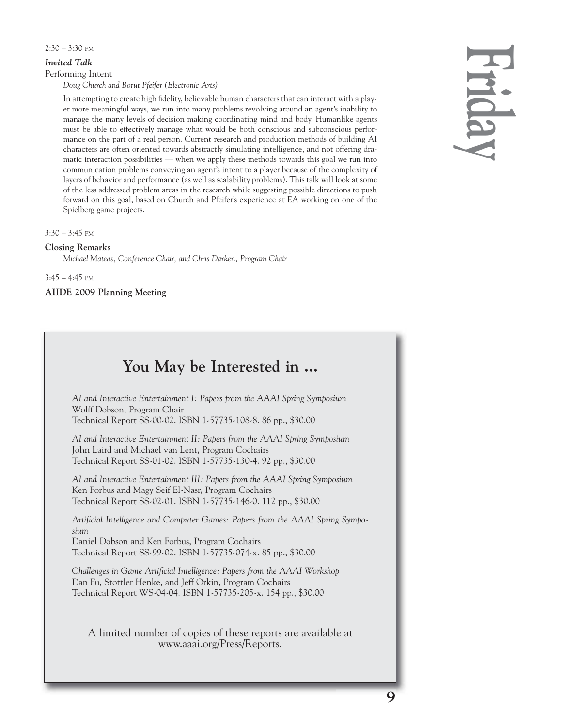### $2:30 - 3:30$  PM

### *Invited Talk*

Performing Intent

*Doug Church and Borut Pfeifer (Electronic Arts)*

In attempting to create high fidelity, believable human characters that can interact with a player more meaningful ways, we run into many problems revolving around an agent's inability to manage the many levels of decision making coordinating mind and body. Humanlike agents must be able to effectively manage what would be both conscious and subconscious performance on the part of a real person. Current research and production methods of building AI characters are often oriented towards abstractly simulating intelligence, and not offering dramatic interaction possibilities — when we apply these methods towards this goal we run into communication problems conveying an agent's intent to a player because of the complexity of layers of behavior and performance (as well as scalability problems). This talk will look at some of the less addressed problem areas in the research while suggesting possible directions to push forward on this goal, based on Church and Pfeifer's experience at EA working on one of the Spielberg game projects.

3:30 – 3:45 PM

### **Closing Remarks**

*Michael Mateas, Conference Chair, and Chris Darken, Program Chair*

3:45 – 4:45 PM

**AIIDE 2009 Planning Meeting**

### **You May be Interested in ...**

*AI and Interactive Entertainment I: Papers from the AAAI Spring Symposium* Wolff Dobson, Program Chair Technical Report SS-00-02. ISBN 1-57735-108-8. 86 pp., \$30.00

*AI and Interactive Entertainment II: Papers from the AAAI Spring Symposium* John Laird and Michael van Lent, Program Cochairs Technical Report SS-01-02. ISBN 1-57735-130-4. 92 pp., \$30.00

*AI and Interactive Entertainment III: Papers from the AAAI Spring Symposium* Ken Forbus and Magy Seif El-Nasr, Program Cochairs Technical Report SS-02-01. ISBN 1-57735-146-0. 112 pp., \$30.00

*Artificial Intelligence and Computer Games: Papers from the AAAI Spring Symposium* Daniel Dobson and Ken Forbus, Program Cochairs Technical Report SS-99-02. ISBN 1-57735-074-x. 85 pp., \$30.00

*Challenges in Game Artificial Intelligence: Papers from the AAAI Workshop* Dan Fu, Stottler Henke, and Jeff Orkin, Program Cochairs Technical Report WS-04-04. ISBN 1-57735-205-x. 154 pp., \$30.00

A limited number of copies of these reports are available at www.aaai.org/Press/Reports.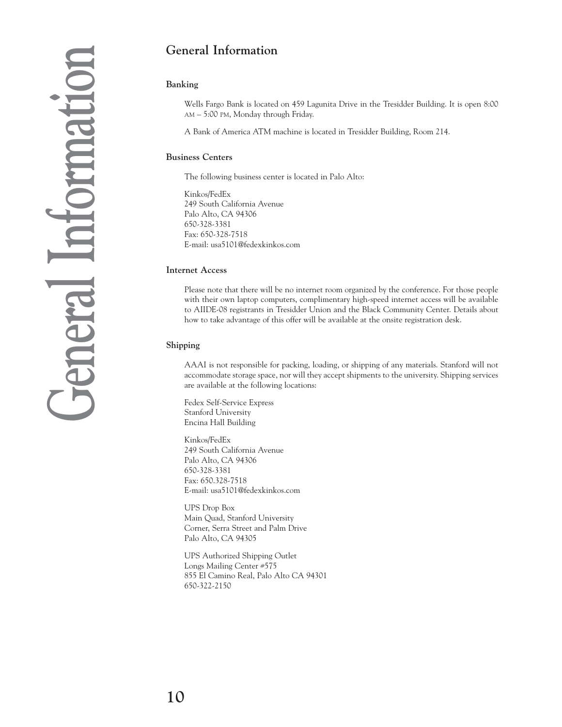### **General Information**

### **Banking**

Wells Fargo Bank is located on 459 Lagunita Drive in the Tresidder Building. It is open 8:00 AM – 5:00 PM, Monday through Friday.

A Bank of America ATM machine is located in Tresidder Building, Room 214.

### **Business Centers**

The following business center is located in Palo Alto:

Kinkos/FedEx 249 South California Avenue Palo Alto, CA 94306 650-328-3381 Fax: 650-328-7518 E-mail: usa5101@fedexkinkos.com

### **Internet Access**

Please note that there will be no internet room organized by the conference. For those people with their own laptop computers, complimentary high-speed internet access will be available to AIIDE-08 registrants in Tresidder Union and the Black Community Center. Details about how to take advantage of this offer will be available at the onsite registration desk.

### **Shipping**

AAAI is not responsible for packing, loading, or shipping of any materials. Stanford will not accommodate storage space, nor will they accept shipments to the university. Shipping services are available at the following locations:

Fedex Self-Service Express Stanford University Encina Hall Building

Kinkos/FedEx 249 South California Avenue Palo Alto, CA 94306 650-328-3381 Fax: 650.328-7518 E-mail: usa5101@fedexkinkos.com

UPS Drop Box Main Quad, Stanford University Corner, Serra Street and Palm Drive Palo Alto, CA 94305

UPS Authorized Shipping Outlet Longs Mailing Center #575 855 El Camino Real, Palo Alto CA 94301 650-322-2150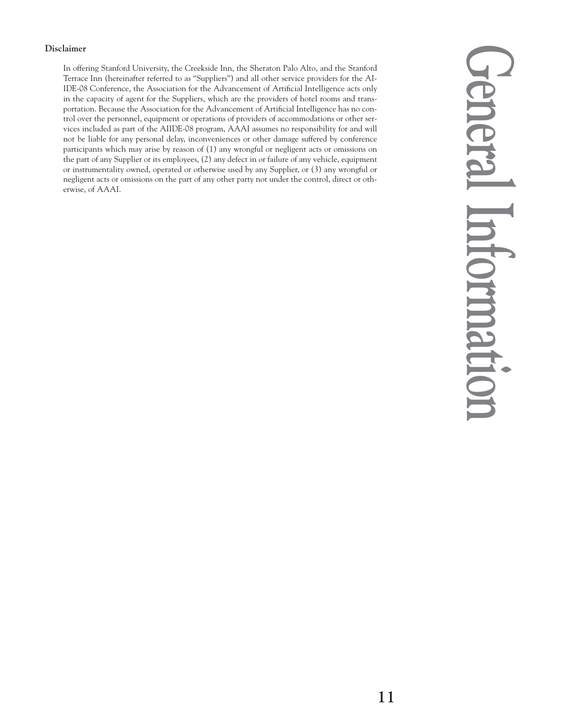### **Disclaimer**

In offering Stanford University, the Creekside Inn, the Sheraton Palo Alto, and the Stanford Terrace Inn (hereinafter referred to as "Suppliers") and all other service providers for the AI-IDE-08 Conference, the Association for the Advancement of Artificial Intelligence acts only in the capacity of agent for the Suppliers, which are the providers of hotel rooms and transportation. Because the Association for the Advancement of Artificial Intelligence has no control over the personnel, equipment or operations of providers of accommodations or other services included as part of the AIIDE-08 program, AAAI assumes no responsibility for and will not be liable for any personal delay, inconveniences or other damage suffered by conference participants which may arise by reason of (1) any wrongful or negligent acts or omissions on the part of any Supplier or its employees, (2) any defect in or failure of any vehicle, equipment or instrumentality owned, operated or otherwise used by any Supplier, or (3) any wrongful or negligent acts or omissions on the part of any other party not under the control, direct or otherwise, of AAAI.